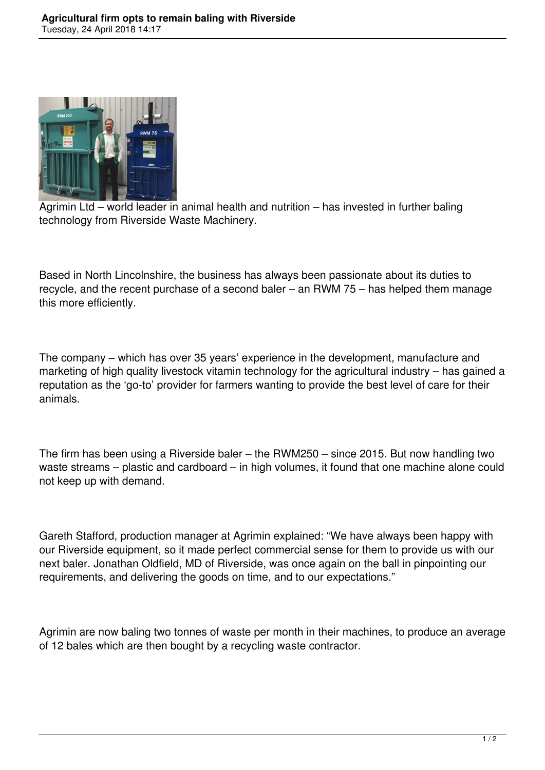

Agrimin Ltd – world leader in animal health and nutrition – has invested in further baling technology from Riverside Waste Machinery.

Based in North Lincolnshire, the business has always been passionate about its duties to recycle, and the recent purchase of a second baler – an RWM 75 – has helped them manage this more efficiently.

The company – which has over 35 years' experience in the development, manufacture and marketing of high quality livestock vitamin technology for the agricultural industry – has gained a reputation as the 'go-to' provider for farmers wanting to provide the best level of care for their animals.

The firm has been using a Riverside baler – the RWM250 – since 2015. But now handling two waste streams – plastic and cardboard – in high volumes, it found that one machine alone could not keep up with demand.

Gareth Stafford, production manager at Agrimin explained: "We have always been happy with our Riverside equipment, so it made perfect commercial sense for them to provide us with our next baler. Jonathan Oldfield, MD of Riverside, was once again on the ball in pinpointing our requirements, and delivering the goods on time, and to our expectations."

Agrimin are now baling two tonnes of waste per month in their machines, to produce an average of 12 bales which are then bought by a recycling waste contractor.